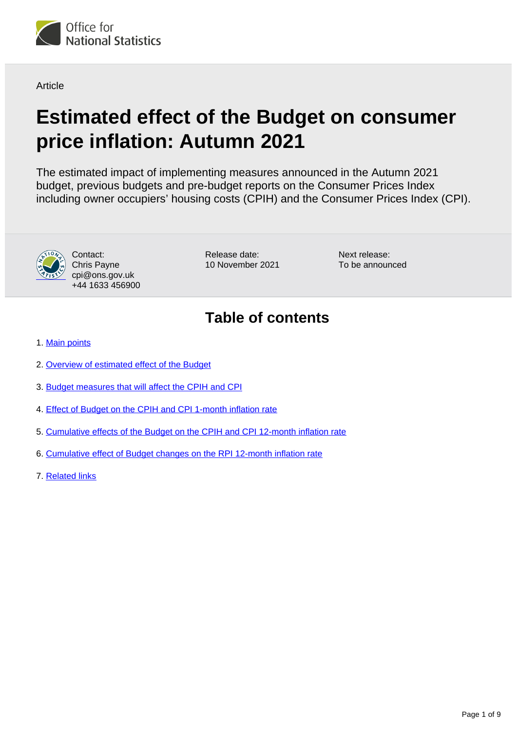

**Article** 

# **Estimated effect of the Budget on consumer price inflation: Autumn 2021**

The estimated impact of implementing measures announced in the Autumn 2021 budget, previous budgets and pre-budget reports on the Consumer Prices Index including owner occupiers' housing costs (CPIH) and the Consumer Prices Index (CPI).



Contact: Chris Payne cpi@ons.gov.uk +44 1633 456900 Release date: 10 November 2021 Next release: To be announced

## **Table of contents**

- 1. [Main points](#page-1-0)
- 2. [Overview of estimated effect of the Budget](#page-2-0)
- 3. [Budget measures that will affect the CPIH and CPI](#page-3-0)
- 4. [Effect of Budget on the CPIH and CPI 1-month inflation rate](#page-4-0)
- 5. [Cumulative effects of the Budget on the CPIH and CPI 12-month inflation rate](#page-5-0)
- 6. [Cumulative effect of Budget changes on the RPI 12-month inflation rate](#page-7-0)
- 7. [Related links](#page-8-0)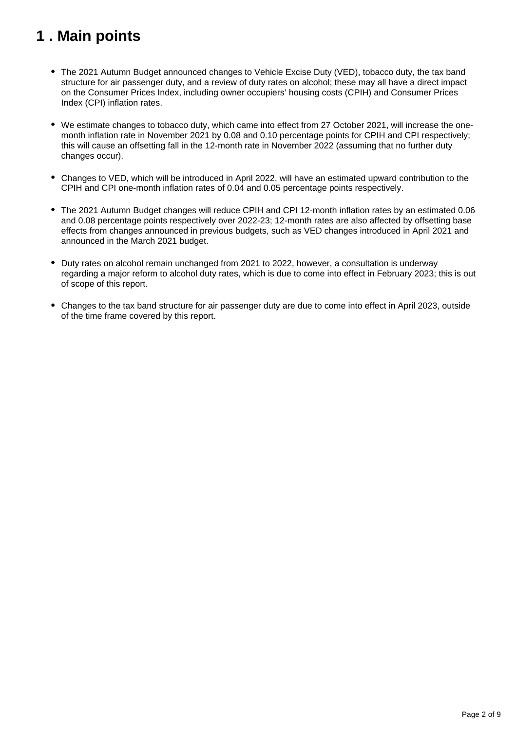## <span id="page-1-0"></span>**1 . Main points**

- The 2021 Autumn Budget announced changes to Vehicle Excise Duty (VED), tobacco duty, the tax band structure for air passenger duty, and a review of duty rates on alcohol; these may all have a direct impact on the Consumer Prices Index, including owner occupiers' housing costs (CPIH) and Consumer Prices Index (CPI) inflation rates.
- We estimate changes to tobacco duty, which came into effect from 27 October 2021, will increase the onemonth inflation rate in November 2021 by 0.08 and 0.10 percentage points for CPIH and CPI respectively; this will cause an offsetting fall in the 12-month rate in November 2022 (assuming that no further duty changes occur).
- Changes to VED, which will be introduced in April 2022, will have an estimated upward contribution to the CPIH and CPI one-month inflation rates of 0.04 and 0.05 percentage points respectively.
- The 2021 Autumn Budget changes will reduce CPIH and CPI 12-month inflation rates by an estimated 0.06 and 0.08 percentage points respectively over 2022-23; 12-month rates are also affected by offsetting base effects from changes announced in previous budgets, such as VED changes introduced in April 2021 and announced in the March 2021 budget.
- Duty rates on alcohol remain unchanged from 2021 to 2022, however, a consultation is underway regarding a major reform to alcohol duty rates, which is due to come into effect in February 2023; this is out of scope of this report.
- Changes to the tax band structure for air passenger duty are due to come into effect in April 2023, outside of the time frame covered by this report.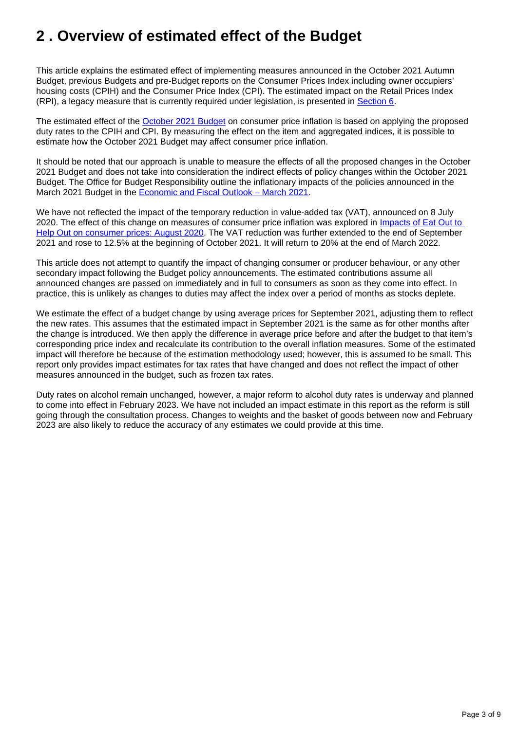## <span id="page-2-0"></span>**2 . Overview of estimated effect of the Budget**

This article explains the estimated effect of implementing measures announced in the October 2021 Autumn Budget, previous Budgets and pre-Budget reports on the Consumer Prices Index including owner occupiers' housing costs (CPIH) and the Consumer Price Index (CPI). The estimated impact on the Retail Prices Index (RPI), a legacy measure that is currently required under legislation, is presented in [Section 6.](https://www.ons.gov.uk/economy/inflationandpriceindices/articles/estimatedeffectofthebudgetonconsumerpriceinflation/autumn2021#cumulative-effect-of-budget-changes-on-the-rpi-12-month-inflation-rate)

The estimated effect of the [October 2021 Budget](https://www.gov.uk/government/collections/autumn-budget-2021-tax-related-documents) on consumer price inflation is based on applying the proposed duty rates to the CPIH and CPI. By measuring the effect on the item and aggregated indices, it is possible to estimate how the October 2021 Budget may affect consumer price inflation.

It should be noted that our approach is unable to measure the effects of all the proposed changes in the October 2021 Budget and does not take into consideration the indirect effects of policy changes within the October 2021 Budget. The Office for Budget Responsibility outline the inflationary impacts of the policies announced in the March 2021 Budget in the [Economic and Fiscal Outlook – March 2021](https://obr.uk/efo/economic-and-fiscal-outlook-march-2021/).

We have not reflected the impact of the temporary reduction in value-added tax (VAT), announced on 8 July 2020. The effect of this change on measures of consumer price inflation was explored in Impacts of Eat Out to [Help Out on consumer prices: August 2020.](https://www.ons.gov.uk/economy/inflationandpriceindices/articles/priceseconomicanalysisquarterly/october2020) The VAT reduction was further extended to the end of September 2021 and rose to 12.5% at the beginning of October 2021. It will return to 20% at the end of March 2022.

This article does not attempt to quantify the impact of changing consumer or producer behaviour, or any other secondary impact following the Budget policy announcements. The estimated contributions assume all announced changes are passed on immediately and in full to consumers as soon as they come into effect. In practice, this is unlikely as changes to duties may affect the index over a period of months as stocks deplete.

We estimate the effect of a budget change by using average prices for September 2021, adjusting them to reflect the new rates. This assumes that the estimated impact in September 2021 is the same as for other months after the change is introduced. We then apply the difference in average price before and after the budget to that item's corresponding price index and recalculate its contribution to the overall inflation measures. Some of the estimated impact will therefore be because of the estimation methodology used; however, this is assumed to be small. This report only provides impact estimates for tax rates that have changed and does not reflect the impact of other measures announced in the budget, such as frozen tax rates.

Duty rates on alcohol remain unchanged, however, a major reform to alcohol duty rates is underway and planned to come into effect in February 2023. We have not included an impact estimate in this report as the reform is still going through the consultation process. Changes to weights and the basket of goods between now and February 2023 are also likely to reduce the accuracy of any estimates we could provide at this time.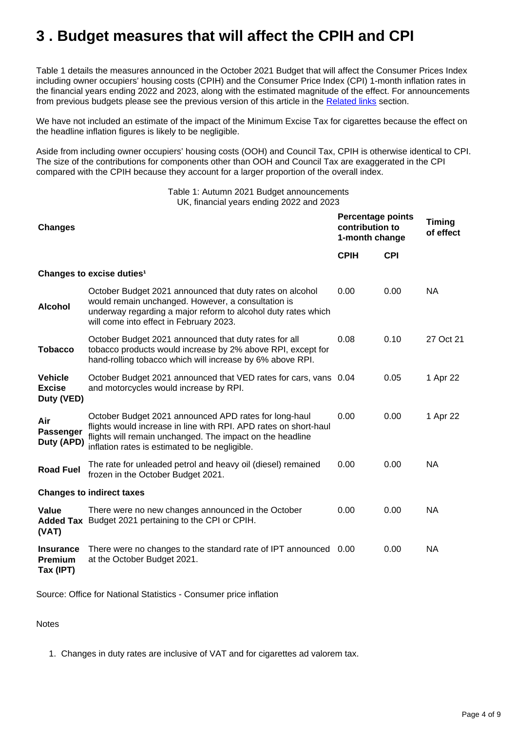## <span id="page-3-0"></span>**3 . Budget measures that will affect the CPIH and CPI**

Table 1 details the measures announced in the October 2021 Budget that will affect the Consumer Prices Index including owner occupiers' housing costs (CPIH) and the Consumer Price Index (CPI) 1-month inflation rates in the financial years ending 2022 and 2023, along with the estimated magnitude of the effect. For announcements from previous budgets please see the previous version of this article in the [Related links](https://www.ons.gov.uk/economy/inflationandpriceindices/articles/estimatedeffectofthebudgetonconsumerpriceinflation/autumn2021#related-links) section.

We have not included an estimate of the impact of the Minimum Excise Tax for cigarettes because the effect on the headline inflation figures is likely to be negligible.

Aside from including owner occupiers' housing costs (OOH) and Council Tax, CPIH is otherwise identical to CPI. The size of the contributions for components other than OOH and Council Tax are exaggerated in the CPI compared with the CPIH because they account for a larger proportion of the overall index.

> Table 1: Autumn 2021 Budget announcements UK, financial years ending 2022 and 2023

| <b>Changes</b>                                  |                                                                                                                                                                                                                                          |             | <b>Percentage points</b><br>contribution to<br>1-month change |           |
|-------------------------------------------------|------------------------------------------------------------------------------------------------------------------------------------------------------------------------------------------------------------------------------------------|-------------|---------------------------------------------------------------|-----------|
|                                                 |                                                                                                                                                                                                                                          | <b>CPIH</b> | <b>CPI</b>                                                    |           |
|                                                 | Changes to excise duties <sup>1</sup>                                                                                                                                                                                                    |             |                                                               |           |
| <b>Alcohol</b>                                  | October Budget 2021 announced that duty rates on alcohol<br>would remain unchanged. However, a consultation is<br>underway regarding a major reform to alcohol duty rates which<br>will come into effect in February 2023.               | 0.00        | 0.00                                                          | <b>NA</b> |
| <b>Tobacco</b>                                  | October Budget 2021 announced that duty rates for all<br>tobacco products would increase by 2% above RPI, except for<br>hand-rolling tobacco which will increase by 6% above RPI.                                                        | 0.08        | 0.10                                                          | 27 Oct 21 |
| <b>Vehicle</b><br><b>Excise</b><br>Duty (VED)   | October Budget 2021 announced that VED rates for cars, vans 0.04<br>and motorcycles would increase by RPI.                                                                                                                               |             | 0.05                                                          | 1 Apr 22  |
| Air<br><b>Passenger</b><br>Duty (APD)           | October Budget 2021 announced APD rates for long-haul<br>flights would increase in line with RPI. APD rates on short-haul<br>flights will remain unchanged. The impact on the headline<br>inflation rates is estimated to be negligible. | 0.00        | 0.00                                                          | 1 Apr 22  |
| <b>Road Fuel</b>                                | The rate for unleaded petrol and heavy oil (diesel) remained<br>frozen in the October Budget 2021.                                                                                                                                       | 0.00        | 0.00                                                          | <b>NA</b> |
| <b>Changes to indirect taxes</b>                |                                                                                                                                                                                                                                          |             |                                                               |           |
| Value<br>(VAT)                                  | There were no new changes announced in the October<br>Added Tax Budget 2021 pertaining to the CPI or CPIH.                                                                                                                               | 0.00        | 0.00                                                          | NA.       |
| <b>Insurance</b><br><b>Premium</b><br>Tax (IPT) | There were no changes to the standard rate of IPT announced 0.00<br>at the October Budget 2021.                                                                                                                                          |             | 0.00                                                          | <b>NA</b> |

Source: Office for National Statistics - Consumer price inflation

Notes

1. Changes in duty rates are inclusive of VAT and for cigarettes ad valorem tax.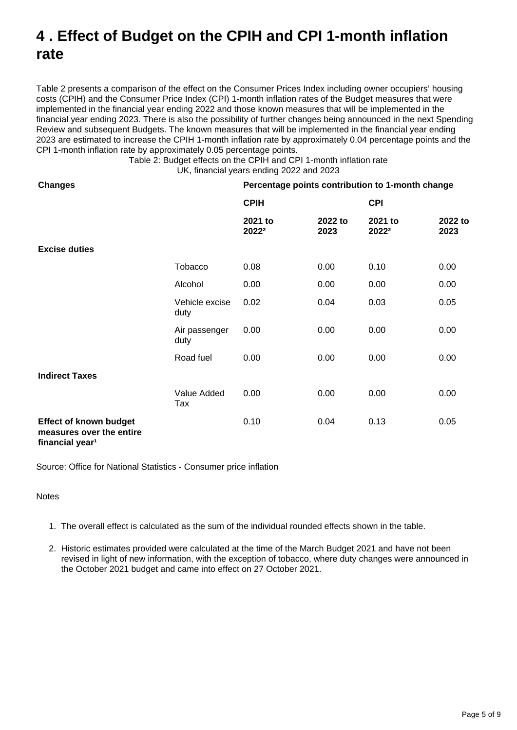## <span id="page-4-0"></span>**4 . Effect of Budget on the CPIH and CPI 1-month inflation rate**

Table 2 presents a comparison of the effect on the Consumer Prices Index including owner occupiers' housing costs (CPIH) and the Consumer Price Index (CPI) 1-month inflation rates of the Budget measures that were implemented in the financial year ending 2022 and those known measures that will be implemented in the financial year ending 2023. There is also the possibility of further changes being announced in the next Spending Review and subsequent Budgets. The known measures that will be implemented in the financial year ending 2023 are estimated to increase the CPIH 1-month inflation rate by approximately 0.04 percentage points and the CPI 1-month inflation rate by approximately 0.05 percentage points.

> Table 2: Budget effects on the CPIH and CPI 1-month inflation rate UK, financial years ending 2022 and 2023

| <b>Changes</b>                                                                           |                        | Percentage points contribution to 1-month change |                 |                  |                 |
|------------------------------------------------------------------------------------------|------------------------|--------------------------------------------------|-----------------|------------------|-----------------|
|                                                                                          |                        | <b>CPIH</b>                                      |                 | <b>CPI</b>       |                 |
|                                                                                          |                        | 2021 to<br>20222                                 | 2022 to<br>2023 | 2021 to<br>20222 | 2022 to<br>2023 |
| <b>Excise duties</b>                                                                     |                        |                                                  |                 |                  |                 |
|                                                                                          | Tobacco                | 0.08                                             | 0.00            | 0.10             | 0.00            |
|                                                                                          | Alcohol                | 0.00                                             | 0.00            | 0.00             | 0.00            |
|                                                                                          | Vehicle excise<br>duty | 0.02                                             | 0.04            | 0.03             | 0.05            |
|                                                                                          | Air passenger<br>duty  | 0.00                                             | 0.00            | 0.00             | 0.00            |
|                                                                                          | Road fuel              | 0.00                                             | 0.00            | 0.00             | 0.00            |
| <b>Indirect Taxes</b>                                                                    |                        |                                                  |                 |                  |                 |
|                                                                                          | Value Added<br>Tax     | 0.00                                             | 0.00            | 0.00             | 0.00            |
| <b>Effect of known budget</b><br>measures over the entire<br>financial vear <sup>1</sup> |                        | 0.10                                             | 0.04            | 0.13             | 0.05            |

Source: Office for National Statistics - Consumer price inflation

### **Notes**

- 1. The overall effect is calculated as the sum of the individual rounded effects shown in the table.
- 2. Historic estimates provided were calculated at the time of the March Budget 2021 and have not been revised in light of new information, with the exception of tobacco, where duty changes were announced in the October 2021 budget and came into effect on 27 October 2021.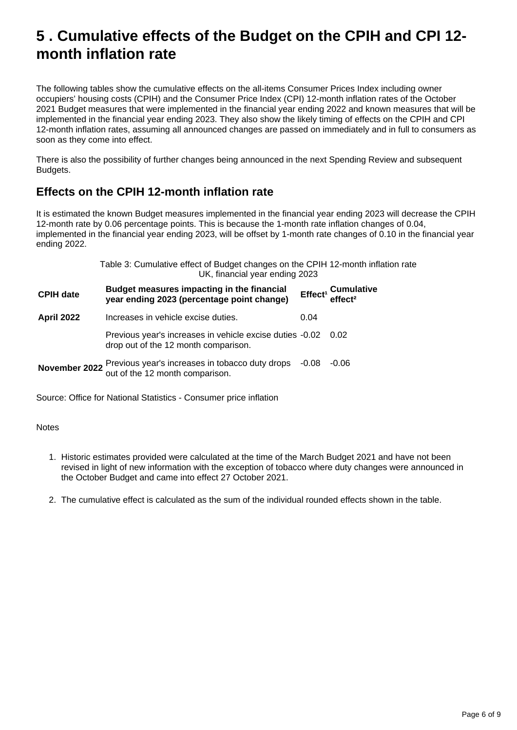### <span id="page-5-0"></span>**5 . Cumulative effects of the Budget on the CPIH and CPI 12 month inflation rate**

The following tables show the cumulative effects on the all-items Consumer Prices Index including owner occupiers' housing costs (CPIH) and the Consumer Price Index (CPI) 12-month inflation rates of the October 2021 Budget measures that were implemented in the financial year ending 2022 and known measures that will be implemented in the financial year ending 2023. They also show the likely timing of effects on the CPIH and CPI 12-month inflation rates, assuming all announced changes are passed on immediately and in full to consumers as soon as they come into effect.

There is also the possibility of further changes being announced in the next Spending Review and subsequent Budgets.

### **Effects on the CPIH 12-month inflation rate**

It is estimated the known Budget measures implemented in the financial year ending 2023 will decrease the CPIH 12-month rate by 0.06 percentage points. This is because the 1-month rate inflation changes of 0.04, implemented in the financial year ending 2023, will be offset by 1-month rate changes of 0.10 in the financial year ending 2022.

|                   | Table 3: Cumulative effect of Budget changes on the CPIH 12-month inflation rate<br>UK, financial year ending 2023 |      |                                                       |  |
|-------------------|--------------------------------------------------------------------------------------------------------------------|------|-------------------------------------------------------|--|
| <b>CPIH date</b>  | Budget measures impacting in the financial<br>year ending 2023 (percentage point change)                           |      | Effect <sup>1</sup> Cumulative<br>effect <sup>2</sup> |  |
| <b>April 2022</b> | Increases in vehicle excise duties.                                                                                | 0.04 |                                                       |  |
|                   | Previous year's increases in vehicle excise duties -0.02 0.02<br>drop out of the 12 month comparison.              |      |                                                       |  |
|                   | <b>November 2022</b> Previous year's increases in tobacco duty drops $-0.08$<br>out of the 12 month comparison.    |      | $-0.06$                                               |  |

Source: Office for National Statistics - Consumer price inflation

Notes

- 1. Historic estimates provided were calculated at the time of the March Budget 2021 and have not been revised in light of new information with the exception of tobacco where duty changes were announced in the October Budget and came into effect 27 October 2021.
- 2. The cumulative effect is calculated as the sum of the individual rounded effects shown in the table.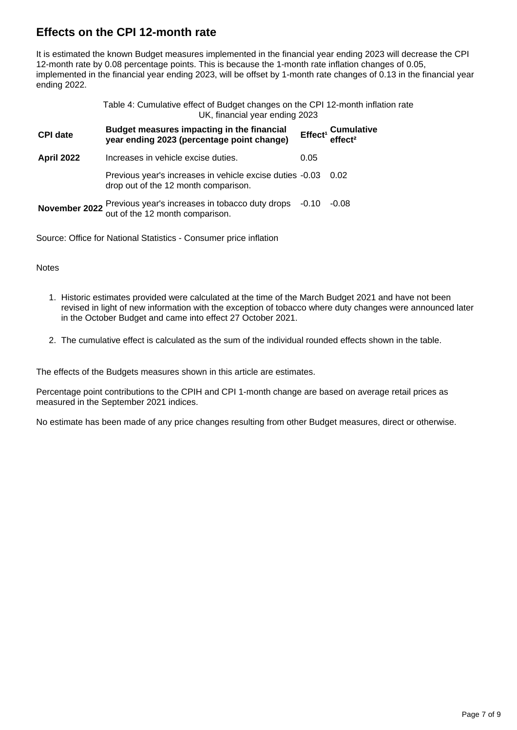### **Effects on the CPI 12-month rate**

It is estimated the known Budget measures implemented in the financial year ending 2023 will decrease the CPI 12-month rate by 0.08 percentage points. This is because the 1-month rate inflation changes of 0.05, implemented in the financial year ending 2023, will be offset by 1-month rate changes of 0.13 in the financial year ending 2022.

| Table 4: Cumulative effect of Budget changes on the CPI 12-month inflation rate |
|---------------------------------------------------------------------------------|
| UK, financial year ending 2023                                                  |

| <b>CPI date</b>   | Budget measures impacting in the financial<br>year ending 2023 (percentage point change)                      |      | Effect <sup>1</sup> Cumulative<br>effect <sup>2</sup> |
|-------------------|---------------------------------------------------------------------------------------------------------------|------|-------------------------------------------------------|
| <b>April 2022</b> | Increases in vehicle excise duties.                                                                           | 0.05 |                                                       |
|                   | Previous year's increases in vehicle excise duties -0.03 0.02<br>drop out of the 12 month comparison.         |      |                                                       |
|                   | <b>November 2022</b> Previous year's increases in tobacco duty drops -0.10<br>out of the 12 month comparison. |      | $-0.08$                                               |

Source: Office for National Statistics - Consumer price inflation

**Notes** 

- 1. Historic estimates provided were calculated at the time of the March Budget 2021 and have not been revised in light of new information with the exception of tobacco where duty changes were announced later in the October Budget and came into effect 27 October 2021.
- 2. The cumulative effect is calculated as the sum of the individual rounded effects shown in the table.

The effects of the Budgets measures shown in this article are estimates.

Percentage point contributions to the CPIH and CPI 1-month change are based on average retail prices as measured in the September 2021 indices.

No estimate has been made of any price changes resulting from other Budget measures, direct or otherwise.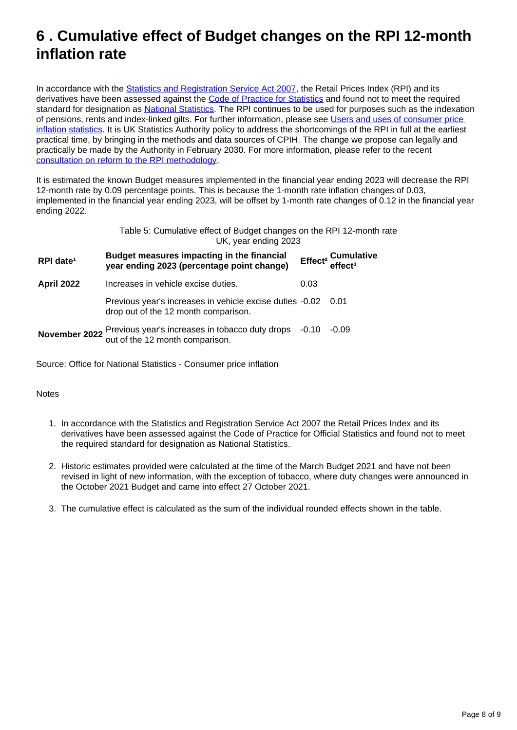### <span id="page-7-0"></span>**6 . Cumulative effect of Budget changes on the RPI 12-month inflation rate**

In accordance with the **Statistics and Registration Service Act 2007**, the Retail Prices Index (RPI) and its derivatives have been assessed against the [Code of Practice for Statistics](https://www.statisticsauthority.gov.uk/code-of-practice/) and found not to meet the required standard for designation as [National Statistics](https://www.statisticsauthority.gov.uk/about-the-authority/uk-statistical-system/types-of-official-statistics/). The RPI continues to be used for purposes such as the indexation of pensions, rents and index-linked gilts. For further information, please see [Users and uses of consumer price](https://www.ons.gov.uk/economy/inflationandpriceindices/methodologies/usersandusesofconsumerpriceinflationstatisticsjuly2018update)  [inflation statistics](https://www.ons.gov.uk/economy/inflationandpriceindices/methodologies/usersandusesofconsumerpriceinflationstatisticsjuly2018update). It is UK Statistics Authority policy to address the shortcomings of the RPI in full at the earliest practical time, by bringing in the methods and data sources of CPIH. The change we propose can legally and practically be made by the Authority in February 2030. For more information, please refer to the recent [consultation on reform to the RPI methodology.](https://consultations.ons.gov.uk/rpi/2020/results/rpiconsultationresponse.pdf)

It is estimated the known Budget measures implemented in the financial year ending 2023 will decrease the RPI 12-month rate by 0.09 percentage points. This is because the 1-month rate inflation changes of 0.03, implemented in the financial year ending 2023, will be offset by 1-month rate changes of 0.12 in the financial year ending 2022.

> Table 5: Cumulative effect of Budget changes on the RPI 12-month rate UK, year ending 2023

| RPI date <sup>1</sup> | Budget measures impacting in the financial<br>year ending 2023 (percentage point change)               |      | Effect <sup>2</sup> Cumulative<br>effect <sup>3</sup> |
|-----------------------|--------------------------------------------------------------------------------------------------------|------|-------------------------------------------------------|
| <b>April 2022</b>     | Increases in vehicle excise duties.                                                                    | 0.03 |                                                       |
|                       | Previous year's increases in vehicle excise duties -0.02 0.01<br>drop out of the 12 month comparison.  |      |                                                       |
|                       | November 2022 Previous year's increases in tobacco duty drops -0.10<br>out of the 12 month comparison. |      | $-0.09$                                               |

Source: Office for National Statistics - Consumer price inflation

### **Notes**

- 1. In accordance with the Statistics and Registration Service Act 2007 the Retail Prices Index and its derivatives have been assessed against the Code of Practice for Official Statistics and found not to meet the required standard for designation as National Statistics.
- 2. Historic estimates provided were calculated at the time of the March Budget 2021 and have not been revised in light of new information, with the exception of tobacco, where duty changes were announced in the October 2021 Budget and came into effect 27 October 2021.
- 3. The cumulative effect is calculated as the sum of the individual rounded effects shown in the table.